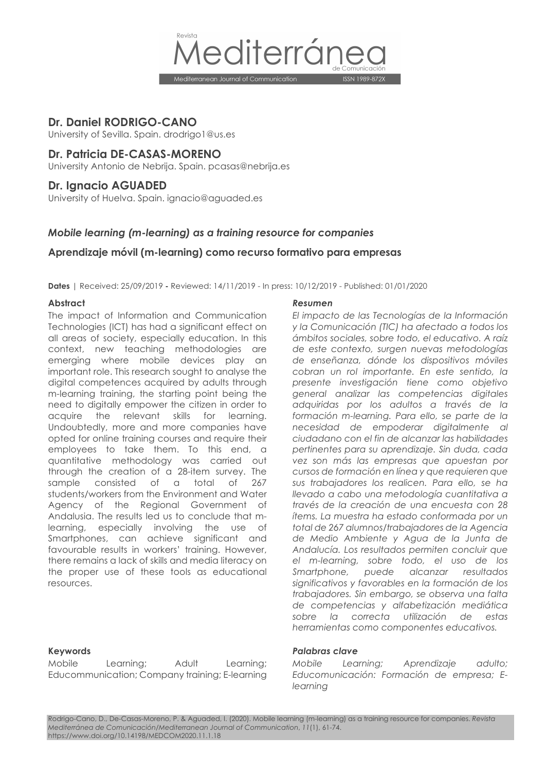

# **Dr. Daniel RODRIGO-CANO**

University of Sevilla. Spain. drodrigo1@us.es

# **Dr. Patricia DE-CASAS-MORENO**

University Antonio de Nebrija. Spain. pcasas@nebrija.es

# **Dr. Ignacio AGUADED**

University of Huelva. Spain. ignacio@aguaded.es

# *Mobile learning (m-learning) as a training resource for companies*

# **Aprendizaje móvil (m-learning) como recurso formativo para empresas**

**Dates** | Received: 25/09/2019 **-** Reviewed: 14/11/2019 - In press: 10/12/2019 - Published: 01/01/2020

The impact of Information and Communication Technologies (ICT) has had a significant effect on all areas of society, especially education. In this context, new teaching methodologies are emerging where mobile devices play an important role. This research sought to analyse the digital competences acquired by adults through m-learning training, the starting point being the need to digitally empower the citizen in order to acquire the relevant skills for learning. Undoubtedly, more and more companies have opted for online training courses and require their employees to take them. To this end, a quantitative methodology was carried out through the creation of a 28-item survey. The sample consisted of a total of 267 students/workers from the Environment and Water Agency of the Regional Government of Andalusia. The results led us to conclude that mlearning, especially involving the use of Smartphones, can achieve significant and favourable results in workers' training. However, there remains a lack of skills and media literacy on the proper use of these tools as educational resources.

Mobile Learning; Adult Learning; Educommunication; Company training; E-learning

#### **Abstract** *Resumen*

*El impacto de las Tecnologías de la Información y la Comunicación (TIC) ha afectado a todos los ámbitos sociales, sobre todo, el educativo. A raíz de este contexto, surgen nuevas metodologías de enseñanza, dónde los dispositivos móviles cobran un rol importante. En este sentido, la presente investigación tiene como objetivo general analizar las competencias digitales adquiridas por los adultos a través de la formación m-learning. Para ello, se parte de la necesidad de empoderar digitalmente al ciudadano con el fin de alcanzar las habilidades pertinentes para su aprendizaje. Sin duda, cada vez son más las empresas que apuestan por cursos de formación en línea y que requieren que sus trabajadores los realicen. Para ello, se ha llevado a cabo una metodología cuantitativa a través de la creación de una encuesta con 28 ítems. La muestra ha estado conformada por un total de 267 alumnos/trabajadores de la Agencia de Medio Ambiente y Agua de la Junta de Andalucía. Los resultados permiten concluir que el m-learning, sobre todo, el uso de los Smartphone, puede alcanzar resultados significativos y favorables en la formación de los trabajadores. Sin embargo, se observa una falta de competencias y alfabetización mediática sobre la correcta utilización de estas herramientas como componentes educativos.*

#### **Keywords** *Palabras clave*

*Mobile Learning; Aprendizaje adulto; Educomunicación: Formación de empresa; Elearning*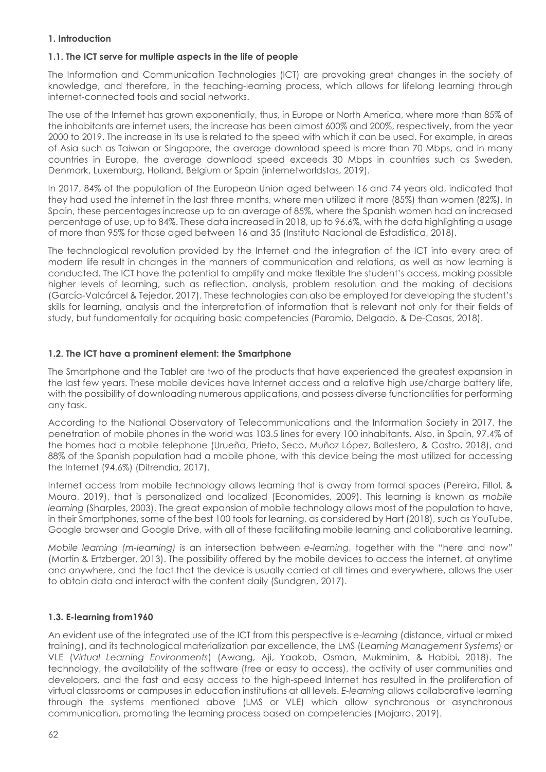# **1. Introduction**

# **1.1. The ICT serve for multiple aspects in the life of people**

The Information and Communication Technologies (ICT) are provoking great changes in the society of knowledge, and therefore, in the teaching-learning process, which allows for lifelong learning through internet-connected tools and social networks.

The use of the Internet has grown exponentially, thus, in Europe or North America, where more than 85% of the inhabitants are internet users, the increase has been almost 600% and 200%, respectively, from the year 2000 to 2019. The increase in its use is related to the speed with which it can be used. For example, in areas of Asia such as Taiwan or Singapore, the average download speed is more than 70 Mbps, and in many countries in Europe, the average download speed exceeds 30 Mbps in countries such as Sweden, Denmark, Luxemburg, Holland, Belgium or Spain (internetworldstas, 2019).

In 2017, 84% of the population of the European Union aged between 16 and 74 years old, indicated that they had used the internet in the last three months, where men utilized it more (85%) than women (82%). In Spain, these percentages increase up to an average of 85%, where the Spanish women had an increased percentage of use, up to 84%. These data increased in 2018, up to 96.6%, with the data highlighting a usage of more than 95% for those aged between 16 and 35 (Instituto Nacional de Estadística, 2018).

The technological revolution provided by the Internet and the integration of the ICT into every area of modern life result in changes in the manners of communication and relations, as well as how learning is conducted. The ICT have the potential to amplify and make flexible the student's access, making possible higher levels of learning, such as reflection, analysis, problem resolution and the making of decisions (García-Valcárcel & Tejedor, 2017). These technologies can also be employed for developing the student's skills for learning, analysis and the interpretation of information that is relevant not only for their fields of study, but fundamentally for acquiring basic competencies (Paramio, Delgado, & De-Casas, 2018).

# **1.2. The ICT have a prominent element: the Smartphone**

The Smartphone and the Tablet are two of the products that have experienced the greatest expansion in the last few years. These mobile devices have Internet access and a relative high use/charge battery life, with the possibility of downloading numerous applications, and possess diverse functionalities for performing any task.

According to the National Observatory of Telecommunications and the Information Society in 2017, the penetration of mobile phones in the world was 103.5 lines for every 100 inhabitants. Also, in Spain, 97.4% of the homes had a mobile telephone (Urueña, Prieto, Seco, Muñoz López, Ballestero, & Castro, 2018), and 88% of the Spanish population had a mobile phone, with this device being the most utilized for accessing the Internet (94.6%) (Ditrendia, 2017).

Internet access from mobile technology allows learning that is away from formal spaces (Pereira, Fillol, & Moura, 2019), that is personalized and localized (Economides, 2009). This learning is known as *mobile learning* (Sharples, 2003). The great expansion of mobile technology allows most of the population to have, in their Smartphones, some of the best 100 tools for learning, as considered by Hart (2018), such as YouTube, Google browser and Google Drive, with all of these facilitating mobile learning and collaborative learning.

*Mobile learning (m-learning)* is an intersection between *e-learning*, together with the "here and now" (Martin & Ertzberger, 2013). The possibility offered by the mobile devices to access the internet, at anytime and anywhere, and the fact that the device is usually carried at all times and everywhere, allows the user to obtain data and interact with the content daily (Sundgren, 2017).

# **1.3. E-learning from1960**

An evident use of the integrated use of the ICT from this perspective is *e-learning* (distance, virtual or mixed training), and its technological materialization par excellence, the LMS (*Learning Management Systems*) or VLE (*Virtual Learning Environments*) (Awang, Aji, Yaakob, Osman, Mukminim, & Habibi, 2018). The technology, the availability of the software (free or easy to access), the activity of user communities and developers, and the fast and easy access to the high-speed Internet has resulted in the proliferation of virtual classrooms or campuses in education institutions at all levels. *E-learning* allows collaborative learning through the systems mentioned above (LMS or VLE) which allow synchronous or asynchronous communication, promoting the learning process based on competencies (Mojarro, 2019).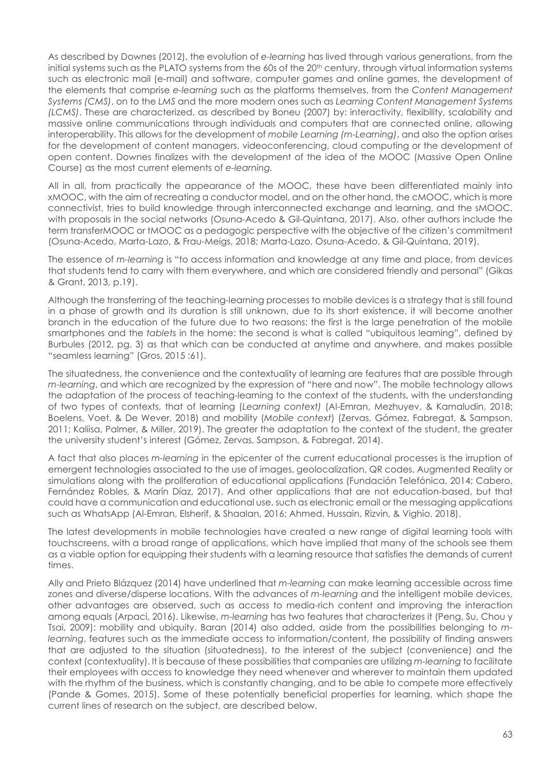As described by Downes (2012), the evolution of *e-learning* has lived through various generations, from the initial systems such as the PLATO systems from the 60s of the 20<sup>th</sup> century, through virtual information systems such as electronic mail (e-mail) and software, computer games and online games, the development of the elements that comprise *e-learning* such as the platforms themselves, from the *Content Management Systems (CMS)*, on to the *LMS* and the more modern ones such as *Learning Content Management Systems (LCMS)*. These are characterized, as described by Boneu (2007) by: interactivity, flexibility, scalability and massive online communications through individuals and computers that are connected online, allowing interoperability. This allows for the development of *mobile Learning (m-Learning)*, and also the option arises for the development of content managers, videoconferencing, cloud computing or the development of open content. Downes finalizes with the development of the idea of the MOOC (Massive Open Online Course) as the most current elements of *e-learning.*

All in all, from practically the appearance of the MOOC, these have been differentiated mainly into xMOOC, with the aim of recreating a conductor model, and on the other hand, the cMOOC, which is more connectivist, tries to build knowledge through interconnected exchange and learning, and the sMOOC, with proposals in the social networks (Osuna-Acedo & Gil-Quintana, 2017). Also, other authors include the term transferMOOC or tMOOC as a pedagogic perspective with the objective of the citizen's commitment (Osuna-Acedo, Marta-Lazo, & Frau-Meigs, 2018; Marta-Lazo, Osuna-Acedo, & Gil-Quintana, 2019).

The essence of *m-learning* is "to access information and knowledge at any time and place, from devices that students tend to carry with them everywhere, and which are considered friendly and personal" (Gikas & Grant, 2013, p.19).

Although the transferring of the teaching-learning processes to mobile devices is a strategy that is still found in a phase of growth and its duration is still unknown, due to its short existence, it will become another branch in the education of the future due to two reasons: the first is the large penetration of the mobile smartphones and the *tablets* in the home: the second is what is called "ubiquitous learning", defined by Burbules (2012, pg. 3) as that which can be conducted at anytime and anywhere, and makes possible "seamless learning" (Gros, 2015 :61).

The situatedness, the convenience and the contextuality of learning are features that are possible through *m-learning*, and which are recognized by the expression of "here and now". The mobile technology allows the adaptation of the process of teaching-learning to the context of the students, with the understanding of two types of contexts, that of learning (*Learning context)* (Al-Emran, Mezhuyev, & Kamaludin, 2018; Boelens, Voet, & De Wever, 2018) and mobility (*Mobile context*) (Zervas, Gómez, Fabregat, & Sampson, 2011; Kaliisa, Palmer, & Miller, 2019). The greater the adaptation to the context of the student, the greater the university student's interest (Gómez, Zervas, Sampson, & Fabregat, 2014).

A fact that also places *m-learning* in the epicenter of the current educational processes is the irruption of emergent technologies associated to the use of images, geolocalization, QR codes, Augmented Reality or simulations along with the proliferation of educational applications (Fundación Telefónica, 2014; Cabero, Fernández Robles, & Marín Díaz, 2017). And other applications that are not education-based, but that could have a communication and educational use, such as electronic email or the messaging applications such as WhatsApp (Al-Emran, Elsherif, & Shaalan, 2016; Ahmed, Hussain, Rizvin, & Vighio, 2018).

The latest developments in mobile technologies have created a new range of digital learning tools with touchscreens, with a broad range of applications, which have implied that many of the schools see them as a viable option for equipping their students with a learning resource that satisfies the demands of current times.

Ally and Prieto Blázquez (2014) have underlined that *m-learning* can make learning accessible across time zones and diverse/disperse locations. With the advances of *m-learning* and the intelligent mobile devices, other advantages are observed, such as access to media-rich content and improving the interaction among equals (Arpaci, 2016). Likewise, *m-learning* has two features that characterizes it (Peng, Su, Chou y Tsai, 2009): mobility and ubiquity. Baran (2014) also added, aside from the possibilities belonging to *mlearning*, features such as the immediate access to information/content, the possibility of finding answers that are adjusted to the situation (situatedness), to the interest of the subject (convenience) and the context (contextuality). It is because of these possibilities that companies are utilizing *m-learning* to facilitate their employees with access to knowledge they need whenever and wherever to maintain them updated with the rhythm of the business, which is constantly changing, and to be able to compete more effectively (Pande & Gomes, 2015). Some of these potentially beneficial properties for learning, which shape the current lines of research on the subject, are described below.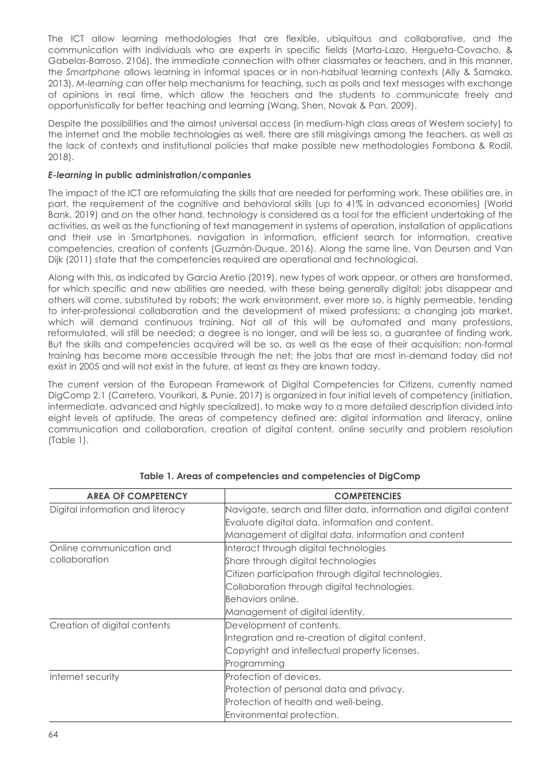The ICT allow learning methodologies that are flexible, ubiquitous and collaborative, and the communication with individuals who are experts in specific fields (Marta-Lazo, Hergueta-Covacho, & Gabelas-Barroso, 2106), the immediate connection with other classmates or teachers, and in this manner, the *Smartphone* allows learning in informal spaces or in non-habitual learning contexts (Ally & Samaka, 2013). *M-learning* can offer help mechanisms for teaching, such as polls and text messages with exchange of opinions in real time, which allow the teachers and the students to communicate freely and opportunistically for better teaching and learning (Wang, Shen, Novak & Pan, 2009).

Despite the possibilities and the almost universal access (in medium-high class areas of Western society) to the internet and the mobile technologies as well, there are still misgivings among the teachers, as well as the lack of contexts and institutional policies that make possible new methodologies Fombona & Rodil, 2018).

# *E-learning* **in public administration/companies**

The impact of the ICT are reformulating the skills that are needed for performing work. These abilities are, in part, the requirement of the cognitive and behavioral skills (up to 41% in advanced economies) (World Bank, 2019) and on the other hand, technology is considered as a tool for the efficient undertaking of the activities, as well as the functioning of text management in systems of operation, installation of applications and their use in Smartphones, navigation in information, efficient search for information, creative competencies, creation of contents (Guzmán-Duque, 2016). Along the same line, Van Deursen and Van Dijk (2011) state that the competencies required are operational and technological.

Along with this, as indicated by Garcia Aretio (2019), new types of work appear, or others are transformed, for which specific and new abilities are needed, with these being generally digital; jobs disappear and others will come, substituted by robots; the work environment, ever more so, is highly permeable, tending to inter-professional collaboration and the development of mixed professions; a changing job market, which will demand continuous training. Not all of this will be automated and many professions, reformulated, will still be needed; a degree is no longer, and will be less so, a guarantee of finding work. But the skills and competencies acquired will be so, as well as the ease of their acquisition; non-formal training has become more accessible through the net; the jobs that are most in-demand today did not exist in 2005 and will not exist in the future, at least as they are known today.

The current version of the European Framework of Digital Competencies for Citizens, currently named DigComp 2.1 (Carretero, Vourikari, & Punie, 2017) is organized in four initial levels of competency (initiation, intermediate, advanced and highly specialized), to make way to a more detailed description divided into eight levels of aptitude. The areas of competency defined are: digital information and literacy, online communication and collaboration, creation of digital content, online security and problem resolution (Table 1).

| <b>AREA OF COMPETENCY</b>        | <b>COMPETENCIES</b>                                               |  |  |  |
|----------------------------------|-------------------------------------------------------------------|--|--|--|
| Digital information and literacy | Navigate, search and filter data, information and digital content |  |  |  |
|                                  | Evaluate digital data, information and content.                   |  |  |  |
|                                  | Management of digital data, information and content               |  |  |  |
| Online communication and         | Interact through digital technologies                             |  |  |  |
| collaboration                    | Share through digital technologies                                |  |  |  |
|                                  | Citizen participation through digital technologies.               |  |  |  |
|                                  | Collaboration through digital technologies.                       |  |  |  |
|                                  | Behaviors online.                                                 |  |  |  |
|                                  | Management of digital identity.                                   |  |  |  |
| Creation of digital contents     | Development of contents.                                          |  |  |  |
|                                  | Integration and re-creation of digital content.                   |  |  |  |
|                                  | Copyright and intellectual property licenses.                     |  |  |  |
|                                  | Programming                                                       |  |  |  |
| Internet security                | Protection of devices.                                            |  |  |  |
|                                  | Protection of personal data and privacy.                          |  |  |  |
|                                  | Protection of health and well-being.                              |  |  |  |
|                                  | Environmental protection.                                         |  |  |  |

| Table 1. Areas of competencies and competencies of DigComp |
|------------------------------------------------------------|
|------------------------------------------------------------|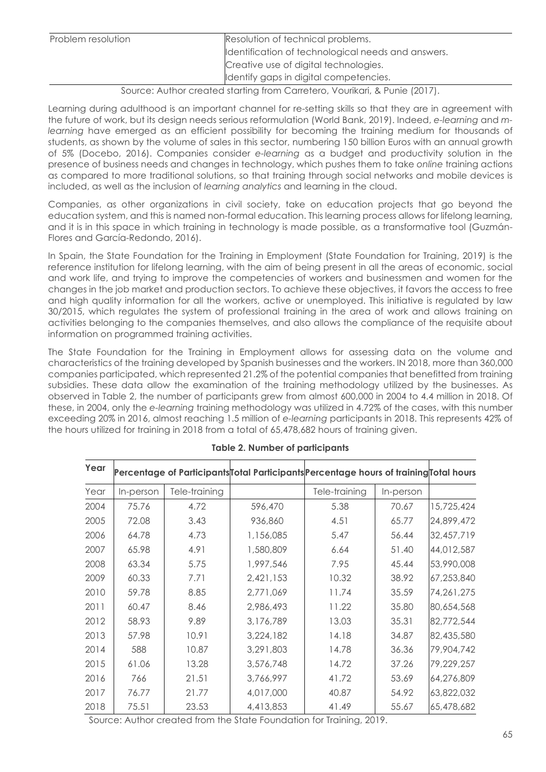| Identification of technological needs and answers. |
|----------------------------------------------------|
| Creative use of digital technologies.              |
| Identify gaps in digital competencies.             |
|                                                    |

### Source: Author created starting from Carretero, Vourikari, & Punie (2017).

Learning during adulthood is an important channel for re-setting skills so that they are in agreement with the future of work, but its design needs serious reformulation (World Bank, 2019). Indeed, *e-learning* and *mlearning* have emerged as an efficient possibility for becoming the training medium for thousands of students, as shown by the volume of sales in this sector, numbering 150 billion Euros with an annual growth of 5% (Docebo, 2016). Companies consider *e-learning* as a budget and productivity solution in the presence of business needs and changes in technology, which pushes them to take *online* training actions as compared to more traditional solutions, so that training through social networks and mobile devices is included, as well as the inclusion of *learning analytics* and learning in the cloud.

Companies, as other organizations in civil society, take on education projects that go beyond the education system, and this is named non-formal education. This learning process allows for lifelong learning, and it is in this space in which training in technology is made possible, as a transformative tool (Guzmán-Flores and García-Redondo, 2016).

In Spain, the State Foundation for the Training in Employment (State Foundation for Training, 2019) is the reference institution for lifelong learning, with the aim of being present in all the areas of economic, social and work life, and trying to improve the competencies of workers and businessmen and women for the changes in the job market and production sectors. To achieve these objectives, it favors the access to free and high quality information for all the workers, active or unemployed. This initiative is regulated by law 30/2015, which regulates the system of professional training in the area of work and allows training on activities belonging to the companies themselves, and also allows the compliance of the requisite about information on programmed training activities.

The State Foundation for the Training in Employment allows for assessing data on the volume and characteristics of the training developed by Spanish businesses and the workers. IN 2018, more than 360,000 companies participated, which represented 21.2% of the potential companies that benefitted from training subsidies. These data allow the examination of the training methodology utilized by the businesses. As observed in Table 2, the number of participants grew from almost 600,000 in 2004 to 4.4 million in 2018. Of these, in 2004, only the *e-learning* training methodology was utilized in 4.72% of the cases, with this number exceeding 20% in 2016, almost reaching 1.5 million of *e-learning* participants in 2018. This represents 42% of the hours utilized for training in 2018 from a total of 65,478,682 hours of training given.

| Year |           |               | Percentage of Participants Total Participants Percentage hours of training Total hours |               |           |            |
|------|-----------|---------------|----------------------------------------------------------------------------------------|---------------|-----------|------------|
| Year | In-person | Tele-training |                                                                                        | Tele-training | In-person |            |
| 2004 | 75.76     | 4.72          | 596,470                                                                                | 5.38          | 70.67     | 15,725,424 |
| 2005 | 72.08     | 3.43          | 936,860                                                                                | 4.51          | 65.77     | 24,899,472 |
| 2006 | 64.78     | 4.73          | 1,156,085                                                                              | 5.47          | 56.44     | 32,457,719 |
| 2007 | 65.98     | 4.91          | 1,580,809                                                                              | 6.64          | 51.40     | 44,012,587 |
| 2008 | 63.34     | 5.75          | 1,997,546                                                                              | 7.95          | 45.44     | 53,990,008 |
| 2009 | 60.33     | 7.71          | 2,421,153                                                                              | 10.32         | 38.92     | 67,253,840 |
| 2010 | 59.78     | 8.85          | 2,771,069                                                                              | 11.74         | 35.59     | 74,261,275 |
| 2011 | 60.47     | 8.46          | 2,986,493                                                                              | 11.22         | 35.80     | 80,654,568 |
| 2012 | 58.93     | 9.89          | 3,176,789                                                                              | 13.03         | 35.31     | 82,772,544 |
| 2013 | 57.98     | 10.91         | 3,224,182                                                                              | 14.18         | 34.87     | 82,435,580 |
| 2014 | 588       | 10.87         | 3,291,803                                                                              | 14.78         | 36.36     | 79,904,742 |
| 2015 | 61.06     | 13.28         | 3,576,748                                                                              | 14.72         | 37.26     | 79,229,257 |
| 2016 | 766       | 21.51         | 3,766,997                                                                              | 41.72         | 53.69     | 64,276,809 |
| 2017 | 76.77     | 21.77         | 4,017,000                                                                              | 40.87         | 54.92     | 63,822,032 |
| 2018 | 75.51     | 23.53         | 4,413,853                                                                              | 41.49         | 55.67     | 65,478,682 |

# **Table 2. Number of participants**

Source: Author created from the State Foundation for Training, 2019.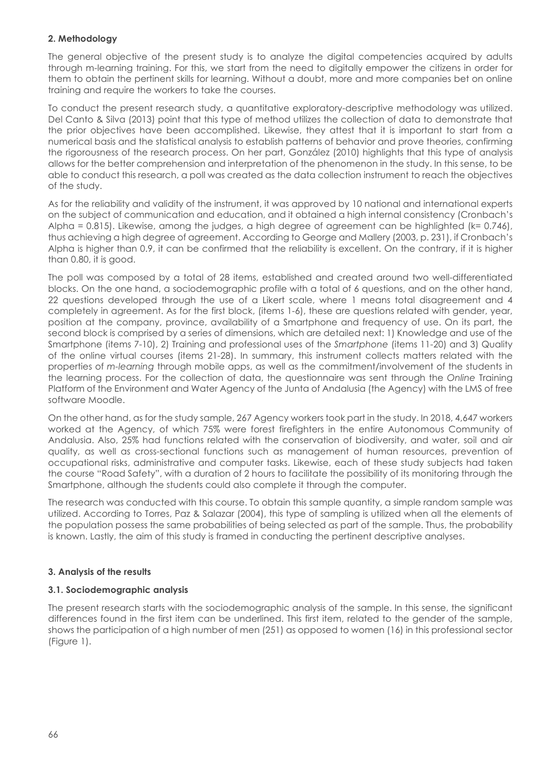# **2. Methodology**

The general objective of the present study is to analyze the digital competencies acquired by adults through m-learning training. For this, we start from the need to digitally empower the citizens in order for them to obtain the pertinent skills for learning. Without a doubt, more and more companies bet on online training and require the workers to take the courses.

To conduct the present research study, a quantitative exploratory-descriptive methodology was utilized. Del Canto & Silva (2013) point that this type of method utilizes the collection of data to demonstrate that the prior objectives have been accomplished. Likewise, they attest that it is important to start from a numerical basis and the statistical analysis to establish patterns of behavior and prove theories, confirming the rigorousness of the research process. On her part, González (2010) highlights that this type of analysis allows for the better comprehension and interpretation of the phenomenon in the study. In this sense, to be able to conduct this research, a poll was created as the data collection instrument to reach the objectives of the study.

As for the reliability and validity of the instrument, it was approved by 10 national and international experts on the subject of communication and education, and it obtained a high internal consistency (Cronbach's Alpha = 0.815). Likewise, among the judges, a high degree of agreement can be highlighted  $(k= 0.746)$ , thus achieving a high degree of agreement. According to George and Mallery (2003, p. 231), if Cronbach's Alpha is higher than 0.9, it can be confirmed that the reliability is excellent. On the contrary, if it is higher than 0.80, it is good.

The poll was composed by a total of 28 items, established and created around two well-differentiated blocks. On the one hand, a sociodemographic profile with a total of 6 questions, and on the other hand, 22 questions developed through the use of a Likert scale, where 1 means total disagreement and 4 completely in agreement. As for the first block, (items 1-6), these are questions related with gender, year, position at the company, province, availability of a Smartphone and frequency of use. On its part, the second block is comprised by a series of dimensions, which are detailed next: 1) Knowledge and use of the Smartphone (items 7-10), 2) Training and professional uses of the *Smartphone* (items 11-20) and 3) Quality of the online virtual courses (items 21-28). In summary, this instrument collects matters related with the properties of *m-learning* through mobile apps, as well as the commitment/involvement of the students in the learning process. For the collection of data, the questionnaire was sent through the *Online* Training Platform of the Environment and Water Agency of the Junta of Andalusia (the Agency) with the LMS of free software Moodle.

On the other hand, as for the study sample, 267 Agency workers took part in the study. In 2018, 4,647 workers worked at the Agency, of which 75% were forest firefighters in the entire Autonomous Community of Andalusia. Also, 25% had functions related with the conservation of biodiversity, and water, soil and air quality, as well as cross-sectional functions such as management of human resources, prevention of occupational risks, administrative and computer tasks. Likewise, each of these study subjects had taken the course "Road Safety", with a duration of 2 hours to facilitate the possibility of its monitoring through the Smartphone, although the students could also complete it through the computer.

The research was conducted with this course. To obtain this sample quantity, a simple random sample was utilized. According to Torres, Paz & Salazar (2004), this type of sampling is utilized when all the elements of the population possess the same probabilities of being selected as part of the sample. Thus, the probability is known. Lastly, the aim of this study is framed in conducting the pertinent descriptive analyses.

### **3. Analysis of the results**

# **3.1. Sociodemographic analysis**

The present research starts with the sociodemographic analysis of the sample. In this sense, the significant differences found in the first item can be underlined. This first item, related to the gender of the sample, shows the participation of a high number of men (251) as opposed to women (16) in this professional sector (Figure 1).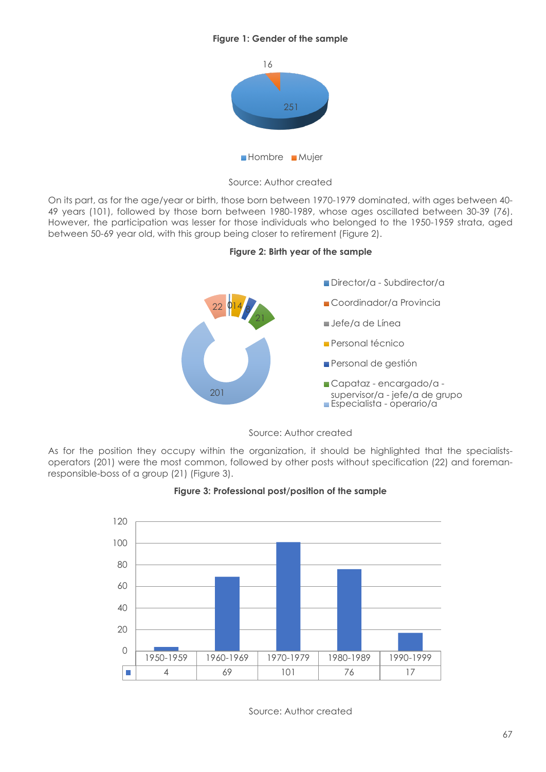# **Figure 1: Gender of the sample**



Source: Author created

On its part, as for the age/year or birth, those born between 1970-1979 dominated, with ages between 40- 49 years (101), followed by those born between 1980-1989, whose ages oscillated between 30-39 (76). However, the participation was lesser for those individuals who belonged to the 1950-1959 strata, aged between 50-69 year old, with this group being closer to retirement (Figure 2).





Source: Author created

As for the position they occupy within the organization, it should be highlighted that the specialistsoperators (201) were the most common, followed by other posts without specification (22) and foremanresponsible-boss of a group (21) (Figure 3).





Source: Author created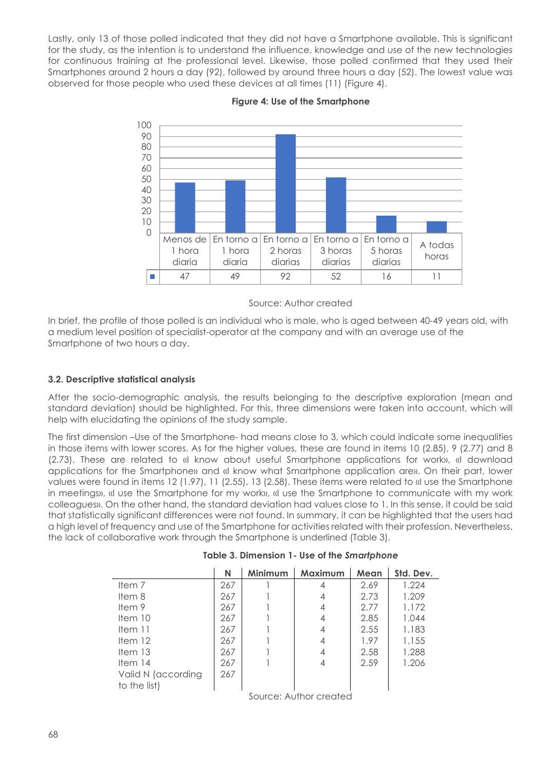Lastly, only 13 of those polled indicated that they did not have a Smartphone available. This is significant for the study, as the intention is to understand the influence, knowledge and use of the new technologies for continuous training at the professional level. Likewise, those polled confirmed that they used their Smartphones around 2 hours a day (92), followed by around three hours a day (52). The lowest value was observed for those people who used these devices at all times (11) (Figure 4).



### **Figure 4: Use of the Smartphone**

In brief, the profile of those polled is an individual who is male, who is aged between 40-49 years old, with a medium level position of specialist-operator at the company and with an average use of the Smartphone of two hours a day.

### **3.2. Descriptive statistical analysis**

After the socio-demographic analysis, the results belonging to the descriptive exploration (mean and standard deviation) should be highlighted. For this, three dimensions were taken into account, which will help with elucidating the opinions of the study sample.

The first dimension –Use of the Smartphone- had means close to 3, which could indicate some inequalities in those items with lower scores. As for the higher values, these are found in items 10 (2.85), 9 (2.77) and 8 (2.73). These are related to «I know about useful Smartphone applications for work», «I download applications for the Smartphone» and «I know what Smartphone application are». On their part, lower values were found in items 12 (1.97), 11 (2.55), 13 (2.58). These items were related to «I use the Smartphone in meetings», «I use the Smartphone for my work», «I use the Smartphone to communicate with my work colleagues». On the other hand, the standard deviation had values close to 1. In this sense, it could be said that statistically significant differences were not found. In summary, it can be highlighted that the users had a high level of frequency and use of the Smartphone for activities related with their profession. Nevertheless, the lack of collaborative work through the Smartphone is underlined (Table 3).

|                    | N   | Minimum | Maximum | Mean | Std. Dev. |
|--------------------|-----|---------|---------|------|-----------|
| Item <sub>7</sub>  | 267 |         | 4       | 2.69 | 1.224     |
| Item 8             | 267 |         | 4       | 2.73 | 1.209     |
| Item $9$           | 267 |         | 4       | 2.77 | 1.172     |
| Item $10$          | 267 |         | 4       | 2.85 | 1.044     |
| Item $11$          | 267 |         | 4       | 2.55 | 1.183     |
| Item $12$          | 267 |         | 4       | 1.97 | 1.155     |
| Item $13$          | 267 |         | 4       | 2.58 | 1.288     |
| Item $14$          | 267 |         | 4       | 2.59 | 1.206     |
| Valid N (according | 267 |         |         |      |           |
| to the list)       |     |         |         |      |           |

**Table 3. Dimension 1- Use of the** *Smartphone*

Source: Author created

Source: Author created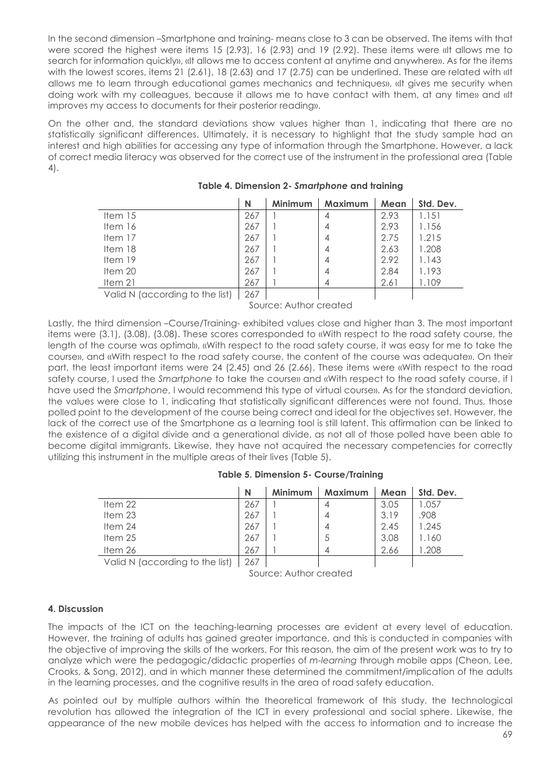In the second dimension –Smartphone and training- means close to 3 can be observed. The items with that were scored the highest were items 15 (2.93), 16 (2.93) and 19 (2.92). These items were «It allows me to search for information quickly», «It allows me to access content at anytime and anywhere». As for the items with the lowest scores, items 21 (2.61), 18 (2.63) and 17 (2.75) can be underlined. These are related with «It allows me to learn through educational games mechanics and techniques», «It gives me security when doing work with my colleagues, because it allows me to have contact with them, at any time» and «It improves my access to documents for their posterior reading».

On the other and, the standard deviations show values higher than 1, indicating that there are no statistically significant differences. Ultimately, it is necessary to highlight that the study sample had an interest and high abilities for accessing any type of information through the Smartphone. However, a lack of correct media literacy was observed for the correct use of the instrument in the professional area (Table 4).

|                                 | N   | <b>Minimum</b> | Maximum | Mean | Std. Dev. |
|---------------------------------|-----|----------------|---------|------|-----------|
| Item $15$                       | 267 |                | 4       | 2.93 | 1.151     |
| Item $16$                       | 267 |                |         | 2.93 | 1.156     |
| Item $17$                       | 267 |                | 4       | 2.75 | 1.215     |
| Item 18                         | 267 |                | 4       | 2.63 | 1.208     |
| Item $19$                       | 267 |                | 4       | 2.92 | 1.143     |
| Item 20                         | 267 |                |         | 2.84 | 1.193     |
| Item $21$                       | 267 |                | 4       | 2.61 | 1.109     |
| Valid N (according to the list) | 267 |                |         |      |           |

# **Table 4. Dimension 2-** *Smartphone* **and training**

valia N (according to the list)  $\mid 267 \mid$ 

Source: Author created

Lastly, the third dimension –Course/Training- exhibited values close and higher than 3. The most important items were (3.1), (3.08), (3.08). These scores corresponded to «With respect to the road safety course, the length of the course was optimal», «With respect to the road safety course, it was easy for me to take the course», and «With respect to the road safety course, the content of the course was adequate». On their part, the least important items were 24 (2.45) and 26 (2.66). These items were «With respect to the road safety course, I used the *Smartphone* to take the course» and «With respect to the road safety course, if I have used the *Smartphone*, I would recommend this type of virtual course». As for the standard deviation, the values were close to 1, indicating that statistically significant differences were not found. Thus, those polled point to the development of the course being correct and ideal for the objectives set. However, the lack of the correct use of the Smartphone as a learning tool is still latent. This affirmation can be linked to the existence of a digital divide and a generational divide, as not all of those polled have been able to become digital immigrants. Likewise, they have not acquired the necessary competencies for correctly utilizing this instrument in the multiple areas of their lives (Table 5).

|                                 | N   | Minimum | <b>Maximum</b> | Mean | Std. Dev. |
|---------------------------------|-----|---------|----------------|------|-----------|
| Item $22$                       | 267 |         | 4              | 3.05 | 1.057     |
| Item $23$                       | 267 |         | 4              | 3.19 | .908      |
| Item $24$                       | 267 |         | 4              | 2.45 | 1.245     |
| Item $25$                       | 267 |         | -5             | 3.08 | 1.160     |
| Item $26$                       | 267 |         | 4              | 2.66 | .208      |
| Valid N (according to the list) | 267 |         |                |      |           |

Valid N (according to the list) 267

Source: Author created

 $\mathbf{I}$ 

# **4. Discussion**

The impacts of the ICT on the teaching-learning processes are evident at every level of education. However, the training of adults has gained greater importance, and this is conducted in companies with the objective of improving the skills of the workers. For this reason, the aim of the present work was to try to analyze which were the pedagogic/didactic properties of *m-learning* through mobile apps (Cheon, Lee, Crooks, & Song, 2012), and in which manner these determined the commitment/implication of the adults in the learning processes, and the cognitive results in the area of road safety education.

As pointed out by multiple authors within the theoretical framework of this study, the technological revolution has allowed the integration of the ICT in every professional and social sphere. Likewise, the appearance of the new mobile devices has helped with the access to information and to increase the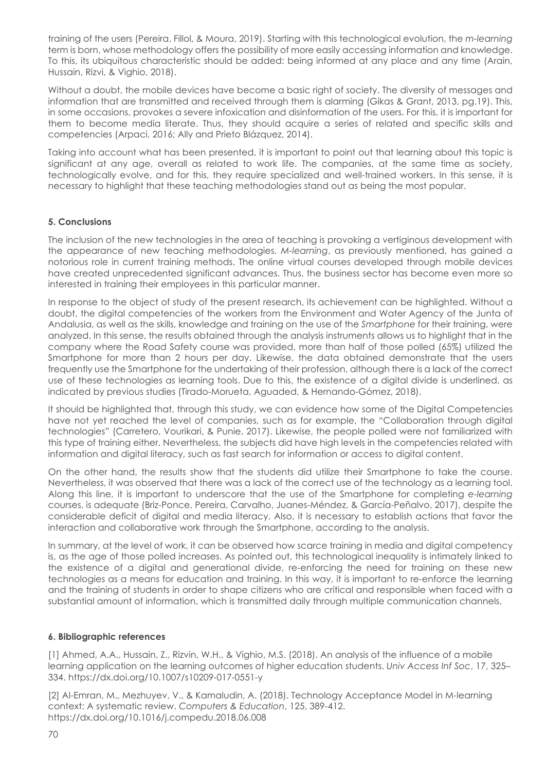training of the users (Pereira, Fillol, & Moura, 2019). Starting with this technological evolution, the *m-learning* term is born, whose methodology offers the possibility of more easily accessing information and knowledge. To this, its ubiquitous characteristic should be added: being informed at any place and any time (Arain, Hussain, Rizvi, & Vighio, 2018).

Without a doubt, the mobile devices have become a basic right of society. The diversity of messages and information that are transmitted and received through them is alarming (Gikas & Grant, 2013, pg.19). This, in some occasions, provokes a severe infoxication and disinformation of the users. For this, it is important for them to become media literate. Thus, they should acquire a series of related and specific skills and competencies (Arpaci, 2016; Ally and Prieto Blázquez, 2014).

Taking into account what has been presented, it is important to point out that learning about this topic is significant at any age, overall as related to work life. The companies, at the same time as society, technologically evolve, and for this, they require specialized and well-trained workers. In this sense, it is necessary to highlight that these teaching methodologies stand out as being the most popular.

# **5. Conclusions**

The inclusion of the new technologies in the area of teaching is provoking a vertiginous development with the appearance of new teaching methodologies. *M-learning*, as previously mentioned, has gained a notorious role in current training methods. The online virtual courses developed through mobile devices have created unprecedented significant advances. Thus, the business sector has become even more so interested in training their employees in this particular manner.

In response to the object of study of the present research, its achievement can be highlighted. Without a doubt, the digital competencies of the workers from the Environment and Water Agency of the Junta of Andalusia, as well as the skills, knowledge and training on the use of the *Smartphone* for their training, were analyzed. In this sense, the results obtained through the analysis instruments allows us to highlight that in the company where the Road Safety course was provided, more than half of those polled (65%) utilized the Smartphone for more than 2 hours per day. Likewise, the data obtained demonstrate that the users frequently use the Smartphone for the undertaking of their profession, although there is a lack of the correct use of these technologies as learning tools. Due to this, the existence of a digital divide is underlined, as indicated by previous studies (Tirado-Morueta, Aguaded, & Hernando-Gómez, 2018).

It should be highlighted that, through this study, we can evidence how some of the Digital Competencies have not yet reached the level of companies, such as for example, the "Collaboration through digital technologies" (Carretero, Vourikari, & Punie, 2017). Likewise, the people polled were not familiarized with this type of training either. Nevertheless, the subjects did have high levels in the competencies related with information and digital literacy, such as fast search for information or access to digital content.

On the other hand, the results show that the students did utilize their Smartphone to take the course. Nevertheless, it was observed that there was a lack of the correct use of the technology as a learning tool. Along this line, it is important to underscore that the use of the Smartphone for completing *e-learning* courses, is adequate (Briz-Ponce, Pereira, Carvalho, Juanes-Méndez, & García-Peñalvo, 2017), despite the considerable deficit of digital and media literacy. Also, it is necessary to establish actions that favor the interaction and collaborative work through the Smartphone, according to the analysis.

In summary, at the level of work, it can be observed how scarce training in media and digital competency is, as the age of those polled increases. As pointed out, this technological inequality is intimately linked to the existence of a digital and generational divide, re-enforcing the need for training on these new technologies as a means for education and training. In this way, it is important to re-enforce the learning and the training of students in order to shape citizens who are critical and responsible when faced with a substantial amount of information, which is transmitted daily through multiple communication channels.

### **6. Bibliographic references**

[1] Ahmed, A.A., Hussain, Z., Rizvin, W.H., & Vighio, M.S. (2018). An analysis of the influence of a mobile learning application on the learning outcomes of higher education students. *Univ Access Inf Soc*, 17, 325– 334. https://dx.doi.org/10.1007/s10209-017-0551-y

[2] Al-Emran, M., Mezhuyev, V., & Kamaludin, A. (2018). Technology Acceptance Model in M-learning context: A systematic review. *Computers & Education*, 125, 389-412. https://dx.doi.org/10.1016/j.compedu.2018.06.008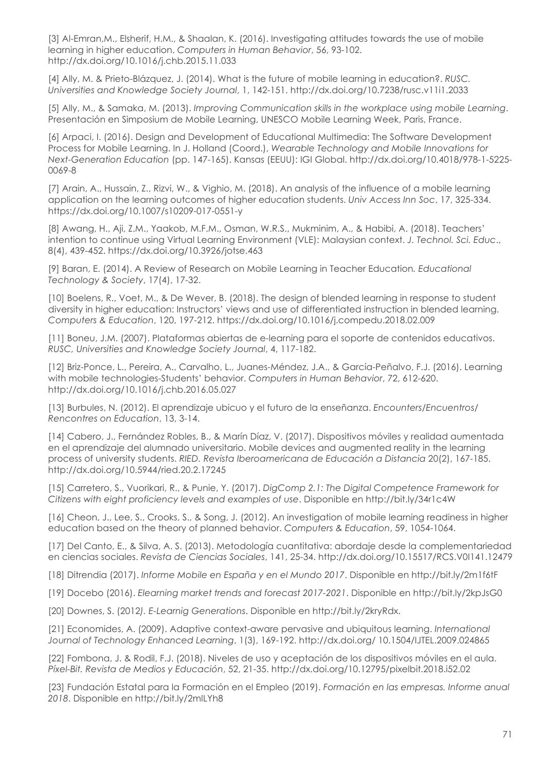[3] Al-Emran,M., Elsherif, H.M., & Shaalan, K. (2016). Investigating attitudes towards the use of mobile learning in higher education. *Computers in Human Behavior*, 56, 93-102. http://dx.doi.org/10.1016/j.chb.2015.11.033

[4] Ally, M. & Prieto-Blázquez, J. (2014). What is the future of mobile learning in education?. *RUSC. Universities and Knowledge Society Journal*, 1, 142-151. http://dx.doi.org/10.7238/rusc.v11i1.2033

[5] Ally, M., & Samaka, M. (2013). *Improving Communication skills in the workplace using mobile Learning*. Presentación en Simposium de Mobile Learning, UNESCO Mobile Learning Week, Paris, France.

[6] Arpaci, I. (2016). Design and Development of Educational Multimedia: The Software Development Process for Mobile Learning. In J. Holland (Coord.), *Wearable Technology and Mobile Innovations for Next-Generation Education* (pp. 147-165). Kansas (EEUU): IGI Global. http://dx.doi.org/10.4018/978-1-5225- 0069-8

[7] Arain, A., Hussain, Z., Rizvi, W., & Vighio, M. (2018). An analysis of the influence of a mobile learning application on the learning outcomes of higher education students. *Univ Access Inn Soc*, 17, 325-334. https://dx.doi.org/10.1007/s10209-017-0551-y

[8] Awang, H., Aji, Z.M., Yaakob, M.F.M., Osman, W.R.S., Mukminim, A., & Habibi, A. (2018). Teachers' intention to continue using Virtual Learning Environment (VLE): Malaysian context. *J. Technol. Sci. Educ*., 8(4), 439-452. https://dx.doi.org/10.3926/jotse.463

[9] Baran, E. (2014). A Review of Research on Mobile Learning in Teacher Education*. Educational Technology & Society*, 17(4), 17-32.

[10] Boelens, R., Voet, M., & De Wever, B. (2018). The design of blended learning in response to student diversity in higher education: Instructors' views and use of differentiated instruction in blended learning. *Computers & Education*, 120, 197-212. https://dx.doi.org/10.1016/j.compedu.2018.02.009

[11] Boneu, J.M. (2007). Plataformas abiertas de e-learning para el soporte de contenidos educativos. *RUSC, Universities and Knowledge Society Journal*, 4, 117-182.

[12] Briz-Ponce, L., Pereira, A., Carvalho, L., Juanes-Méndez, J.A., & García-Peñalvo, F.J. (2016). Learning with mobile technologies-Students' behavior. *Computers in Human Behavior*, 72, 612-620. http://dx.doi.org/10.1016/j.chb.2016.05.027

[13] Burbules, N. (2012). El aprendizaje ubicuo y el futuro de la enseñanza. *Encounters/Encuentros/ Rencontres on Education*, 13, 3-14.

[14] Cabero, J., Fernández Robles, B., & Marín Díaz, V. (2017). Dispositivos móviles y realidad aumentada en el aprendizaje del alumnado universitario. Mobile devices and augmented reality in the learning process of university students. *RIED. Revista Iberoamericana de Educación a Distancia* 20(2), 167-185. http://dx.doi.org/10.5944/ried.20.2.17245

[15] Carretero, S., Vuorikari, R., & Punie, Y. (2017). *DigComp 2.1: The Digital Competence Framework for Citizens with eight proficiency levels and examples of use*. Disponible en http://bit.ly/34r1c4W

[16] Cheon, J., Lee, S., Crooks, S., & Song, J. (2012). An investigation of mobile learning readiness in higher education based on the theory of planned behavior. *Computers & Education*, 59, 1054-1064.

[17] Del Canto, E., & Silva, A. S. (2013). Metodología cuantitativa: abordaje desde la complementariedad en ciencias sociales. *Revista de Ciencias Sociales*, 141, 25-34. http://dx.doi.org/10.15517/RCS.V0I141.12479

[18] Ditrendia (2017). *Informe Mobile en España y en el Mundo 2017*. Disponible en http://bit.ly/2m1f6tF

[19] Docebo (2016). *Elearning market trends and forecast 2017-2021*. Disponible en http://bit.ly/2kpJsG0

[20] Downes, S. (2012*). E-Learnig Generations*. Disponible en http://bit.ly/2kryRdx.

[21] Economides, A. (2009). Adaptive context-aware pervasive and ubiquitous learning. *International Journal of Technology Enhanced Learning*, 1(3), 169-192. http://dx.doi.org/ 10.1504/IJTEL.2009.024865

[22] Fombona, J. & Rodil, F.J. (2018). Niveles de uso y aceptación de los dispositivos móviles en el aula. *Píxel-Bit. Revista de Medios y Educación*, 52, 21-35. http://dx.doi.org/10.12795/pixelbit.2018.i52.02

[23] Fundación Estatal para la Formación en el Empleo (2019). *Formación en las empresas. Informe anual 2018*. Disponible en http://bit.ly/2mlLYh8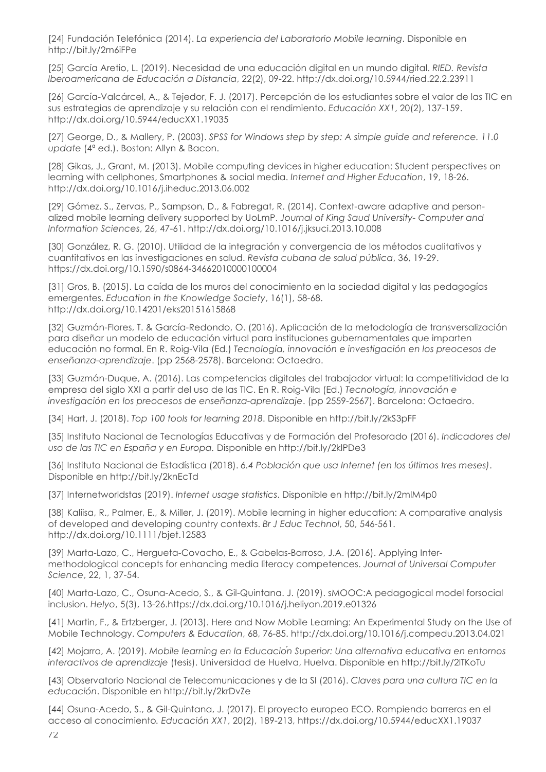[24] Fundación Telefónica (2014). *La experiencia del Laboratorio Mobile learning*. Disponible en http://bit.ly/2m6iFPe

[25] García Aretio, L. (2019). Necesidad de una educación digital en un mundo digital. *RIED. Revista Iberoamericana de Educación a Distancia*, 22(2), 09-22. http://dx.doi.org/10.5944/ried.22.2.23911

[26] García-Valcárcel, A., & Tejedor, F. J. (2017). Percepción de los estudiantes sobre el valor de las TIC en sus estrategias de aprendizaje y su relación con el rendimiento. *Educación XX1*, 20(2), 137-159. http://dx.doi.org/10.5944/educXX1.19035

[27] George, D., & Mallery, P. (2003). *SPSS for Windows step by step: A simple guide and reference. 11.0 update* (4ª ed.). Boston: Allyn & Bacon.

[28] Gikas, J., Grant, M. (2013). Mobile computing devices in higher education: Student perspectives on learning with cellphones, Smartphones & social media. *Internet and Higher Education*, 19, 18-26. http://dx.doi.org/10.1016/j.iheduc.2013.06.002

[29] Gómez, S., Zervas, P., Sampson, D., & Fabregat, R. (2014). Context-aware adaptive and personalized mobile learning delivery supported by UoLmP. *Journal of King Saud University- Computer and Information Sciences*, 26, 47-61. http://dx.doi.org/10.1016/j.jksuci.2013.10.008

[30] González, R. G. (2010). Utilidad de la integración y convergencia de los métodos cualitativos y cuantitativos en las investigaciones en salud. *Revista cubana de salud pública*, 36, 19-29. https://dx.doi.org/10.1590/s0864-34662010000100004

[31] Gros, B. (2015). La caída de los muros del conocimiento en la sociedad digital y las pedagogías emergentes. *Education in the Knowledge Society*, 16(1), 58-68. http://dx.doi.org/10.14201/eks20151615868

[32] Guzmán-Flores, T. & García-Redondo, O. (2016). Aplicación de la metodología de transversalización para diseñar un modelo de educación virtual para instituciones gubernamentales que imparten educación no formal. En R. Roig-Vila (Ed.) *Tecnología, innovación e investigación en los preocesos de enseñanza-aprendizaje*. (pp 2568-2578). Barcelona: Octaedro.

[33] Guzmán-Duque, A. (2016). Las competencias digitales del trabajador virtual: la competitividad de la empresa del siglo XXI a partir del uso de las TIC. En R. Roig-Vila (Ed.) *Tecnología, innovación e investigación en los preocesos de enseñanza-aprendizaje*. (pp 2559-2567). Barcelona: Octaedro.

[34] Hart, J. (2018). *Top 100 tools for learning 2018*. Disponible en http://bit.ly/2kS3pFF

[35] Instituto Nacional de Tecnologías Educativas y de Formación del Profesorado (2016). *Indicadores del uso de las TIC en España y en Europa.* Disponible en http://bit.ly/2klPDe3

[36] Instituto Nacional de Estadística (2018). *6.4 Población que usa Internet (en los últimos tres meses)*. Disponible en http://bit.ly/2knEcTd

[37] Internetworldstas (2019). *Internet usage statistics*. Disponible en http://bit.ly/2mlM4p0

[38] Kaliisa, R., Palmer, E., & Miller, J. (2019). Mobile learning in higher education: A comparative analysis of developed and developing country contexts. *Br J Educ Technol*, 50, 546-561. http://dx.doi.org/10.1111/bjet.12583

[39] Marta-Lazo, C., Hergueta-Covacho, E., & Gabelas-Barroso, J.A. (2016). Applying Intermethodological concepts for enhancing media literacy competences. *Journal of Universal Computer Science*, 22, 1, 37-54.

[40] Marta-Lazo, C., Osuna-Acedo, S., & Gil-Quintana. J. (2019). sMOOC:A pedagogical model forsocial inclusion. *Helyo*, 5(3), 13-26.https://dx.doi.org/10.1016/j.heliyon.2019.e01326

[41] Martin, F., & Ertzberger, J. (2013). Here and Now Mobile Learning: An Experimental Study on the Use of Mobile Technology. *Computers & Education*, 68, 76-85. http://dx.doi.org/10.1016/j.compedu.2013.04.021

[42] Mojarro, A. (2019). *Mobile learning en la Educación Superior: Una alternativa educativa en entornos interactivos de aprendizaje* (tesis). Universidad de Huelva, Huelva. Disponible en http://bit.ly/2lTKoTu

[43] Observatorio Nacional de Telecomunicaciones y de la SI (2016). *Claves para una cultura TIC en la educación*. Disponible en http://bit.ly/2krDvZe

[44] Osuna-Acedo, S., & Gil-Quintana, J. (2017). El proyecto europeo ECO. Rompiendo barreras en el acceso al conocimiento*. Educación XX1*, 20(2), 189-213, https://dx.doi.org/10.5944/educXX1.19037